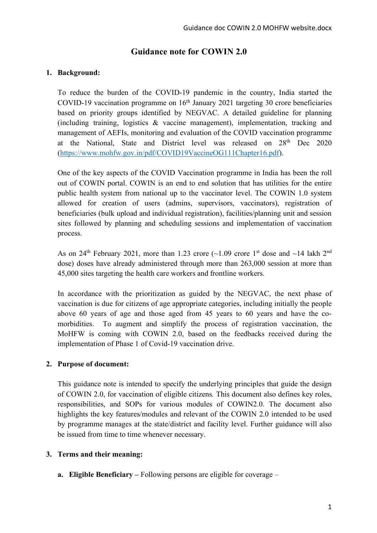# **Guidance note for COWIN 2.0**

## **1. Background:**

To reduce the burden of the COVID-19 pandemic in the country, India started the COVID-19 vaccination programme on  $16<sup>th</sup>$  January 2021 targeting 30 crore beneficiaries based on priority groups identified by NEGVAC. A detailed guideline for planning (including training, logistics & vaccine management), implementation, tracking and management of AEFIs, monitoring and evaluation of the COVID vaccination programme at the National, State and District level was released on 28th Dec 2020 (https://www.mohfw.gov.in/pdf/COVID19VaccineOG111Chapter16.pdf).

One of the key aspects of the COVID Vaccination programme in India has been the roll out of COWIN portal. COWIN is an end to end solution that has utilities for the entire public health system from national up to the vaccinator level. The COWIN 1.0 system allowed for creation of users (admins, supervisors, vaccinators), registration of beneficiaries (bulk upload and individual registration), facilities/planning unit and session sites followed by planning and scheduling sessions and implementation of vaccination process.

As on 24<sup>th</sup> February 2021, more than 1.23 crore  $\sim 1.09$  crore 1<sup>st</sup> dose and  $\sim 14$  lakh 2<sup>nd</sup> dose) doses have already administered through more than 263,000 session at more than 45,000 sites targeting the health care workers and frontline workers.

In accordance with the prioritization as guided by the NEGVAC, the next phase of vaccination is due for citizens of age appropriate categories, including initially the people above 60 years of age and those aged from 45 years to 60 years and have the comorbidities. To augment and simplify the process of registration vaccination, the MoHFW is coming with COWIN 2.0, based on the feedbacks received during the implementation of Phase 1 of Covid-19 vaccination drive.

## **2. Purpose of document:**

This guidance note is intended to specify the underlying principles that guide the design of COWIN 2.0, for vaccination of eligible citizens. This document also defines key roles, responsibilities, and SOPs for various modules of COWIN2.0. The document also highlights the key features/modules and relevant of the COWIN 2.0 intended to be used by programme manages at the state/district and facility level. Further guidance will also be issued from time to time whenever necessary.

## **3. Terms and their meaning:**

**a. Eligible Beneficiary –** Following persons are eligible for coverage –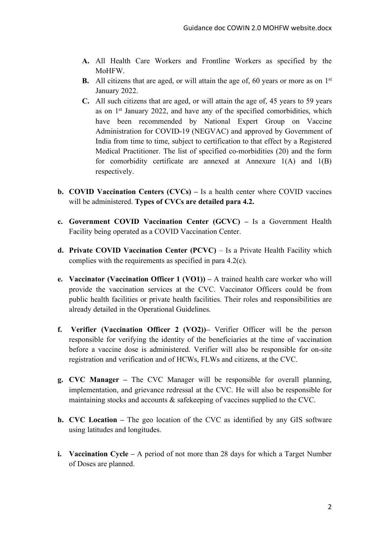- **A.** All Health Care Workers and Frontline Workers as specified by the MoHFW.
- **B.** All citizens that are aged, or will attain the age of, 60 years or more as on 1<sup>st</sup> January 2022.
- **C.** All such citizens that are aged, or will attain the age of, 45 years to 59 years as on 1st January 2022, and have any of the specified comorbidities, which have been recommended by National Expert Group on Vaccine Administration for COVID-19 (NEGVAC) and approved by Government of India from time to time, subject to certification to that effect by a Registered Medical Practitioner. The list of specified co-morbidities (20) and the form for comorbidity certificate are annexed at Annexure  $1(A)$  and  $1(B)$ respectively.
- **b. COVID Vaccination Centers (CVCs) –** Is a health center where COVID vaccines will be administered. **Types of CVCs are detailed para 4.2.**
- **c. Government COVID Vaccination Center (GCVC) –** Is a Government Health Facility being operated as a COVID Vaccination Center.
- **d. Private COVID Vaccination Center (PCVC)** Is a Private Health Facility which complies with the requirements as specified in para 4.2(c).
- **e. Vaccinator (Vaccination Officer 1 (VO1)) –** A trained health care worker who will provide the vaccination services at the CVC. Vaccinator Officers could be from public health facilities or private health facilities. Their roles and responsibilities are already detailed in the Operational Guidelines.
- **f. Verifier (Vaccination Officer 2 (VO2))–** Verifier Officer will be the person responsible for verifying the identity of the beneficiaries at the time of vaccination before a vaccine dose is administered. Verifier will also be responsible for on-site registration and verification and of HCWs, FLWs and citizens, at the CVC.
- **g. CVC Manager –** The CVC Manager will be responsible for overall planning, implementation, and grievance redressal at the CVC. He will also be responsible for maintaining stocks and accounts & safekeeping of vaccines supplied to the CVC.
- **h. CVC Location –** The geo location of the CVC as identified by any GIS software using latitudes and longitudes.
- **i. Vaccination Cycle –** A period of not more than 28 days for which a Target Number of Doses are planned.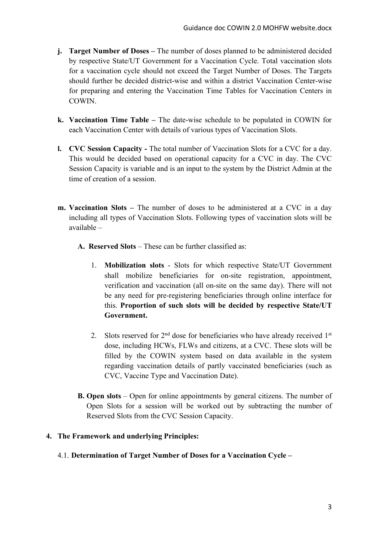- **j. Target Number of Doses –** The number of doses planned to be administered decided by respective State/UT Government for a Vaccination Cycle. Total vaccination slots for a vaccination cycle should not exceed the Target Number of Doses. The Targets should further be decided district-wise and within a district Vaccination Center-wise for preparing and entering the Vaccination Time Tables for Vaccination Centers in COWIN.
- **k. Vaccination Time Table –** The date-wise schedule to be populated in COWIN for each Vaccination Center with details of various types of Vaccination Slots.
- **l. CVC Session Capacity -** The total number of Vaccination Slots for a CVC for a day. This would be decided based on operational capacity for a CVC in day. The CVC Session Capacity is variable and is an input to the system by the District Admin at the time of creation of a session.
- **m. Vaccination Slots –** The number of doses to be administered at a CVC in a day including all types of Vaccination Slots. Following types of vaccination slots will be available –
	- **A. Reserved Slots** These can be further classified as:
		- 1. **Mobilization slots** Slots for which respective State/UT Government shall mobilize beneficiaries for on-site registration, appointment, verification and vaccination (all on-site on the same day). There will not be any need for pre-registering beneficiaries through online interface for this. **Proportion of such slots will be decided by respective State/UT Government.**
		- 2. Slots reserved for  $2<sup>nd</sup>$  dose for beneficiaries who have already received  $1<sup>st</sup>$ dose, including HCWs, FLWs and citizens, at a CVC. These slots will be filled by the COWIN system based on data available in the system regarding vaccination details of partly vaccinated beneficiaries (such as CVC, Vaccine Type and Vaccination Date).
	- **B. Open slots** Open for online appointments by general citizens. The number of Open Slots for a session will be worked out by subtracting the number of Reserved Slots from the CVC Session Capacity.

### **4. The Framework and underlying Principles:**

4.1. **Determination of Target Number of Doses for a Vaccination Cycle –**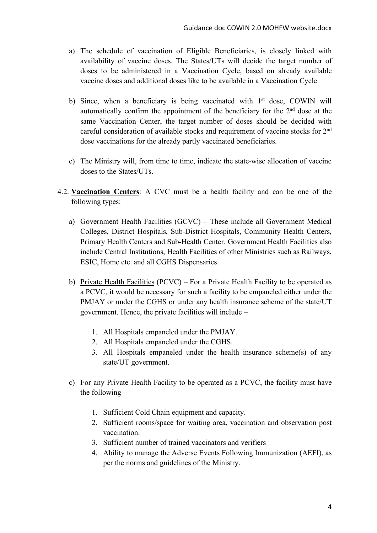- a) The schedule of vaccination of Eligible Beneficiaries, is closely linked with availability of vaccine doses. The States/UTs will decide the target number of doses to be administered in a Vaccination Cycle, based on already available vaccine doses and additional doses like to be available in a Vaccination Cycle.
- b) Since, when a beneficiary is being vaccinated with  $1<sup>st</sup>$  dose, COWIN will automatically confirm the appointment of the beneficiary for the 2nd dose at the same Vaccination Center, the target number of doses should be decided with careful consideration of available stocks and requirement of vaccine stocks for 2nd dose vaccinations for the already partly vaccinated beneficiaries.
- c) The Ministry will, from time to time, indicate the state-wise allocation of vaccine doses to the States/UTs.
- 4.2. **Vaccination Centers**: A CVC must be a health facility and can be one of the following types:
	- a) Government Health Facilities (GCVC) These include all Government Medical Colleges, District Hospitals, Sub-District Hospitals, Community Health Centers, Primary Health Centers and Sub-Health Center. Government Health Facilities also include Central Institutions, Health Facilities of other Ministries such as Railways, ESIC, Home etc. and all CGHS Dispensaries.
	- b) Private Health Facilities (PCVC) For a Private Health Facility to be operated as a PCVC, it would be necessary for such a facility to be empaneled either under the PMJAY or under the CGHS or under any health insurance scheme of the state/UT government. Hence, the private facilities will include –
		- 1. All Hospitals empaneled under the PMJAY.
		- 2. All Hospitals empaneled under the CGHS.
		- 3. All Hospitals empaneled under the health insurance scheme(s) of any state/UT government.
	- c) For any Private Health Facility to be operated as a PCVC, the facility must have the following –
		- 1. Sufficient Cold Chain equipment and capacity.
		- 2. Sufficient rooms/space for waiting area, vaccination and observation post vaccination.
		- 3. Sufficient number of trained vaccinators and verifiers
		- 4. Ability to manage the Adverse Events Following Immunization (AEFI), as per the norms and guidelines of the Ministry.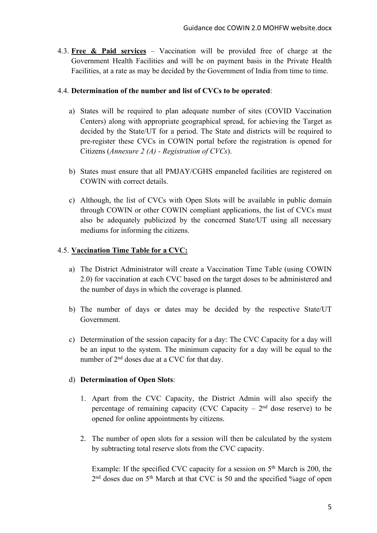4.3. **Free & Paid services** – Vaccination will be provided free of charge at the Government Health Facilities and will be on payment basis in the Private Health Facilities, at a rate as may be decided by the Government of India from time to time.

### 4.4. **Determination of the number and list of CVCs to be operated**:

- a) States will be required to plan adequate number of sites (COVID Vaccination Centers) along with appropriate geographical spread, for achieving the Target as decided by the State/UT for a period. The State and districts will be required to pre-register these CVCs in COWIN portal before the registration is opened for Citizens (*Annexure 2 (A) - Registration of CVCs*).
- b) States must ensure that all PMJAY/CGHS empaneled facilities are registered on COWIN with correct details.
- c) Although, the list of CVCs with Open Slots will be available in public domain through COWIN or other COWIN compliant applications, the list of CVCs must also be adequately publicized by the concerned State/UT using all necessary mediums for informing the citizens.

### 4.5. **Vaccination Time Table for a CVC:**

- a) The District Administrator will create a Vaccination Time Table (using COWIN 2.0) for vaccination at each CVC based on the target doses to be administered and the number of days in which the coverage is planned.
- b) The number of days or dates may be decided by the respective State/UT Government.
- c) Determination of the session capacity for a day: The CVC Capacity for a day will be an input to the system. The minimum capacity for a day will be equal to the number of 2<sup>nd</sup> doses due at a CVC for that day.

### d) **Determination of Open Slots**:

- 1. Apart from the CVC Capacity, the District Admin will also specify the percentage of remaining capacity (CVC Capacity  $-2<sup>nd</sup>$  dose reserve) to be opened for online appointments by citizens.
- 2. The number of open slots for a session will then be calculated by the system by subtracting total reserve slots from the CVC capacity.

Example: If the specified CVC capacity for a session on  $5<sup>th</sup>$  March is 200, the 2<sup>nd</sup> doses due on 5<sup>th</sup> March at that CVC is 50 and the specified %age of open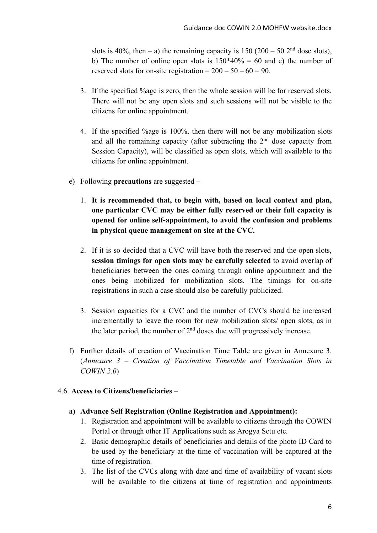slots is 40%, then – a) the remaining capacity is  $150 (200 - 50 2<sup>nd</sup>$  dose slots), b) The number of online open slots is  $150*40% = 60$  and c) the number of reserved slots for on-site registration =  $200 - 50 - 60 = 90$ .

- 3. If the specified %age is zero, then the whole session will be for reserved slots. There will not be any open slots and such sessions will not be visible to the citizens for online appointment.
- 4. If the specified %age is 100%, then there will not be any mobilization slots and all the remaining capacity (after subtracting the  $2<sup>nd</sup>$  dose capacity from Session Capacity), will be classified as open slots, which will available to the citizens for online appointment.
- e) Following **precautions** are suggested
	- 1. **It is recommended that, to begin with, based on local context and plan, one particular CVC may be either fully reserved or their full capacity is opened for online self-appointment, to avoid the confusion and problems in physical queue management on site at the CVC.**
	- 2. If it is so decided that a CVC will have both the reserved and the open slots, **session timings for open slots may be carefully selected** to avoid overlap of beneficiaries between the ones coming through online appointment and the ones being mobilized for mobilization slots. The timings for on-site registrations in such a case should also be carefully publicized.
	- 3. Session capacities for a CVC and the number of CVCs should be increased incrementally to leave the room for new mobilization slots/ open slots, as in the later period, the number of  $2<sup>nd</sup>$  doses due will progressively increase.
- f) Further details of creation of Vaccination Time Table are given in Annexure 3. (*Annexure 3 – Creation of Vaccination Timetable and Vaccination Slots in COWIN 2.0*)

### 4.6. **Access to Citizens/beneficiaries** –

- **a) Advance Self Registration (Online Registration and Appointment):** 
	- 1. Registration and appointment will be available to citizens through the COWIN Portal or through other IT Applications such as Arogya Setu etc.
	- 2. Basic demographic details of beneficiaries and details of the photo ID Card to be used by the beneficiary at the time of vaccination will be captured at the time of registration.
	- 3. The list of the CVCs along with date and time of availability of vacant slots will be available to the citizens at time of registration and appointments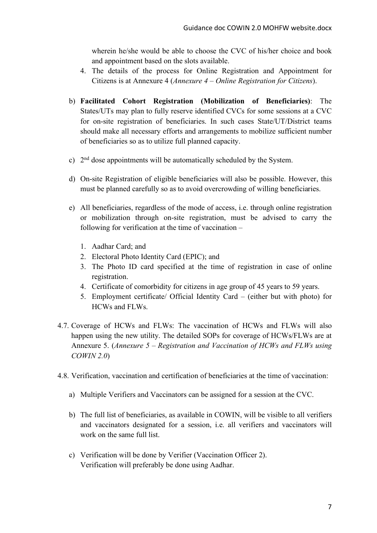wherein he/she would be able to choose the CVC of his/her choice and book and appointment based on the slots available.

- 4. The details of the process for Online Registration and Appointment for Citizens is at Annexure 4 (*Annexure 4 – Online Registration for Citizens*).
- b) **Facilitated Cohort Registration (Mobilization of Beneficiaries)**: The States/UTs may plan to fully reserve identified CVCs for some sessions at a CVC for on-site registration of beneficiaries. In such cases State/UT/District teams should make all necessary efforts and arrangements to mobilize sufficient number of beneficiaries so as to utilize full planned capacity.
- c) 2nd dose appointments will be automatically scheduled by the System.
- d) On-site Registration of eligible beneficiaries will also be possible. However, this must be planned carefully so as to avoid overcrowding of willing beneficiaries.
- e) All beneficiaries, regardless of the mode of access, i.e. through online registration or mobilization through on-site registration, must be advised to carry the following for verification at the time of vaccination –
	- 1. Aadhar Card; and
	- 2. Electoral Photo Identity Card (EPIC); and
	- 3. The Photo ID card specified at the time of registration in case of online registration.
	- 4. Certificate of comorbidity for citizens in age group of 45 years to 59 years.
	- 5. Employment certificate/ Official Identity Card (either but with photo) for HCWs and FLWs.
- 4.7. Coverage of HCWs and FLWs: The vaccination of HCWs and FLWs will also happen using the new utility. The detailed SOPs for coverage of HCWs/FLWs are at Annexure 5. (*Annexure 5 – Registration and Vaccination of HCWs and FLWs using COWIN 2.0*)
- 4.8. Verification, vaccination and certification of beneficiaries at the time of vaccination:
	- a) Multiple Verifiers and Vaccinators can be assigned for a session at the CVC.
	- b) The full list of beneficiaries, as available in COWIN, will be visible to all verifiers and vaccinators designated for a session, i.e. all verifiers and vaccinators will work on the same full list.
	- c) Verification will be done by Verifier (Vaccination Officer 2). Verification will preferably be done using Aadhar.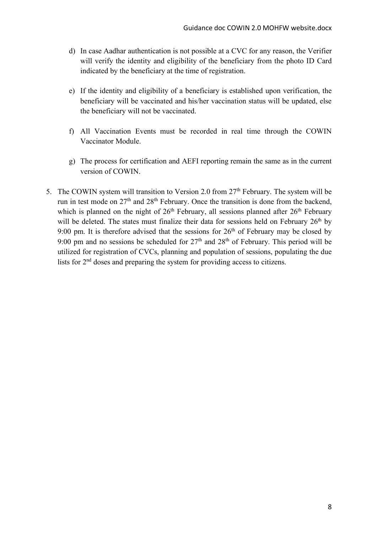- d) In case Aadhar authentication is not possible at a CVC for any reason, the Verifier will verify the identity and eligibility of the beneficiary from the photo ID Card indicated by the beneficiary at the time of registration.
- e) If the identity and eligibility of a beneficiary is established upon verification, the beneficiary will be vaccinated and his/her vaccination status will be updated, else the beneficiary will not be vaccinated.
- f) All Vaccination Events must be recorded in real time through the COWIN Vaccinator Module.
- g) The process for certification and AEFI reporting remain the same as in the current version of COWIN.
- 5. The COWIN system will transition to Version 2.0 from  $27<sup>th</sup>$  February. The system will be run in test mode on  $27<sup>th</sup>$  and  $28<sup>th</sup>$  February. Once the transition is done from the backend, which is planned on the night of  $26<sup>th</sup>$  February, all sessions planned after  $26<sup>th</sup>$  February will be deleted. The states must finalize their data for sessions held on February  $26<sup>th</sup>$  by 9:00 pm. It is therefore advised that the sessions for  $26<sup>th</sup>$  of February may be closed by 9:00 pm and no sessions be scheduled for  $27<sup>th</sup>$  and  $28<sup>th</sup>$  of February. This period will be utilized for registration of CVCs, planning and population of sessions, populating the due lists for 2nd doses and preparing the system for providing access to citizens.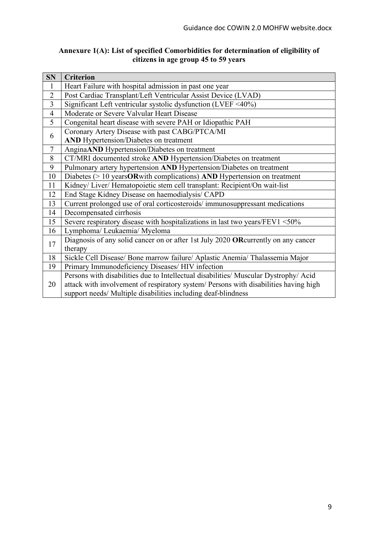#### **Annexure 1(A): List of specified Comorbidities for determination of eligibility of citizens in age group 45 to 59 years**

| <b>SN</b>      | <b>Criterion</b>                                                                     |  |  |
|----------------|--------------------------------------------------------------------------------------|--|--|
| 1              | Heart Failure with hospital admission in past one year                               |  |  |
| $\overline{2}$ | Post Cardiac Transplant/Left Ventricular Assist Device (LVAD)                        |  |  |
| $\overline{3}$ | Significant Left ventricular systolic dysfunction (LVEF $\leq 40\%$ )                |  |  |
| $\overline{4}$ | Moderate or Severe Valvular Heart Disease                                            |  |  |
| 5              | Congenital heart disease with severe PAH or Idiopathic PAH                           |  |  |
| 6              | Coronary Artery Disease with past CABG/PTCA/MI                                       |  |  |
|                | <b>AND</b> Hypertension/Diabetes on treatment                                        |  |  |
| $\tau$         | AnginaAND Hypertension/Diabetes on treatment                                         |  |  |
| 8              | CT/MRI documented stroke AND Hypertension/Diabetes on treatment                      |  |  |
| 9              | Pulmonary artery hypertension AND Hypertension/Diabetes on treatment                 |  |  |
| 10             | Diabetes $(>10$ years OR with complications) AND Hypertension on treatment           |  |  |
| 11             | Kidney/ Liver/ Hematopoietic stem cell transplant: Recipient/On wait-list            |  |  |
| 12             | End Stage Kidney Disease on haemodialysis/ CAPD                                      |  |  |
| 13             | Current prolonged use of oral corticosteroids/immunosuppressant medications          |  |  |
| 14             | Decompensated cirrhosis                                                              |  |  |
| 15             | Severe respiratory disease with hospitalizations in last two years/FEV1 $\leq 50\%$  |  |  |
| 16             | Lymphoma/ Leukaemia/ Myeloma                                                         |  |  |
| 17             | Diagnosis of any solid cancer on or after 1st July 2020 ORcurrently on any cancer    |  |  |
|                | therapy                                                                              |  |  |
| 18             | Sickle Cell Disease/ Bone marrow failure/ Aplastic Anemia/ Thalassemia Major         |  |  |
| 19             | Primary Immunodeficiency Diseases/ HIV infection                                     |  |  |
| 20             | Persons with disabilities due to Intellectual disabilities/ Muscular Dystrophy/ Acid |  |  |
|                | attack with involvement of respiratory system/ Persons with disabilities having high |  |  |
|                | support needs/ Multiple disabilities including deaf-blindness                        |  |  |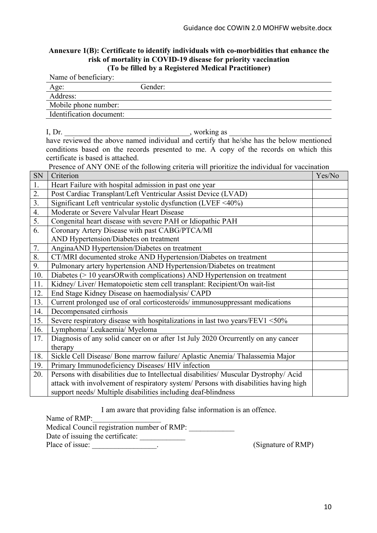#### **Annexure 1(B): Certificate to identify individuals with co-morbidities that enhance the risk of mortality in COVID-19 disease for priority vaccination (To be filled by a Registered Medical Practitioner)**

|                   | Name of beneficiary:                                                                         |        |  |
|-------------------|----------------------------------------------------------------------------------------------|--------|--|
|                   | Gender:<br>Age:                                                                              |        |  |
|                   | Address:                                                                                     |        |  |
|                   | Mobile phone number:                                                                         |        |  |
|                   | Identification document:                                                                     |        |  |
|                   |                                                                                              |        |  |
|                   | I, $Dr.$<br>$\frac{1}{2}$ , working as                                                       |        |  |
|                   | have reviewed the above named individual and certify that he/she has the below mentioned     |        |  |
|                   | conditions based on the records presented to me. A copy of the records on which this         |        |  |
|                   | certificate is based is attached.                                                            |        |  |
|                   | Presence of ANY ONE of the following criteria will prioritize the individual for vaccination |        |  |
| SN                | Criterion                                                                                    | Yes/No |  |
| $1.$              | Heart Failure with hospital admission in past one year                                       |        |  |
| $\frac{2}{3}$     | Post Cardiac Transplant/Left Ventricular Assist Device (LVAD)                                |        |  |
|                   | Significant Left ventricular systolic dysfunction (LVEF <40%)                                |        |  |
| $\frac{4}{5}$     | Moderate or Severe Valvular Heart Disease                                                    |        |  |
|                   | Congenital heart disease with severe PAH or Idiopathic PAH                                   |        |  |
| $\overline{6}$ .  | Coronary Artery Disease with past CABG/PTCA/MI                                               |        |  |
|                   | AND Hypertension/Diabetes on treatment                                                       |        |  |
| 7 <sub>1</sub>    | AnginaAND Hypertension/Diabetes on treatment                                                 |        |  |
| $\frac{8}{9}$ .   | CT/MRI documented stroke AND Hypertension/Diabetes on treatment                              |        |  |
|                   | Pulmonary artery hypertension AND Hypertension/Diabetes on treatment                         |        |  |
| 10.               | Diabetes (> 10 yearsORwith complications) AND Hypertension on treatment                      |        |  |
| $\frac{11}{12}$   | Kidney/ Liver/ Hematopoietic stem cell transplant: Recipient/On wait-list                    |        |  |
|                   | End Stage Kidney Disease on haemodialysis/ CAPD                                              |        |  |
| $\overline{13}$ . | Current prolonged use of oral corticosteroids/immunosuppressant medications                  |        |  |
| 14.               | Decompensated cirrhosis                                                                      |        |  |
| 15.               | Severe respiratory disease with hospitalizations in last two years/FEV1 <50%                 |        |  |
| 16.               | Lymphoma/ Leukaemia/ Myeloma                                                                 |        |  |
| 17.               | Diagnosis of any solid cancer on or after 1st July 2020 Orcurrently on any cancer            |        |  |
|                   | therapy                                                                                      |        |  |
| 18.               | Sickle Cell Disease/ Bone marrow failure/ Aplastic Anemia/ Thalassemia Major                 |        |  |
| 19.               | Primary Immunodeficiency Diseases/ HIV infection                                             |        |  |
| 20.               | Persons with disabilities due to Intellectual disabilities/ Muscular Dystrophy/ Acid         |        |  |
|                   | attack with involvement of respiratory system/ Persons with disabilities having high         |        |  |
|                   | support needs/ Multiple disabilities including deaf-blindness                                |        |  |

I am aware that providing false information is an offence.

Name of RMP:

Medical Council registration number of RMP:

Date of issuing the certificate:

Place of issue:  $(Signature of RMP)$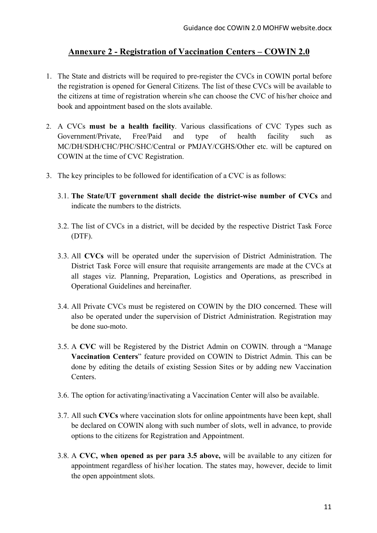# **Annexure 2 - Registration of Vaccination Centers – COWIN 2.0**

- 1. The State and districts will be required to pre-register the CVCs in COWIN portal before the registration is opened for General Citizens. The list of these CVCs will be available to the citizens at time of registration wherein s/he can choose the CVC of his/her choice and book and appointment based on the slots available.
- 2. A CVCs **must be a health facility**. Various classifications of CVC Types such as Government/Private, Free/Paid and type of health facility such as MC/DH/SDH/CHC/PHC/SHC/Central or PMJAY/CGHS/Other etc. will be captured on COWIN at the time of CVC Registration.
- 3. The key principles to be followed for identification of a CVC is as follows:
	- 3.1. **The State/UT government shall decide the district-wise number of CVCs** and indicate the numbers to the districts.
	- 3.2. The list of CVCs in a district, will be decided by the respective District Task Force (DTF).
	- 3.3. All **CVCs** will be operated under the supervision of District Administration. The District Task Force will ensure that requisite arrangements are made at the CVCs at all stages viz. Planning, Preparation, Logistics and Operations, as prescribed in Operational Guidelines and hereinafter.
	- 3.4. All Private CVCs must be registered on COWIN by the DIO concerned. These will also be operated under the supervision of District Administration. Registration may be done suo-moto.
	- 3.5. A **CVC** will be Registered by the District Admin on COWIN. through a "Manage **Vaccination Centers**" feature provided on COWIN to District Admin. This can be done by editing the details of existing Session Sites or by adding new Vaccination Centers.
	- 3.6. The option for activating/inactivating a Vaccination Center will also be available.
	- 3.7. All such **CVCs** where vaccination slots for online appointments have been kept, shall be declared on COWIN along with such number of slots, well in advance, to provide options to the citizens for Registration and Appointment.
	- 3.8. A **CVC, when opened as per para 3.5 above,** will be available to any citizen for appointment regardless of his\her location. The states may, however, decide to limit the open appointment slots.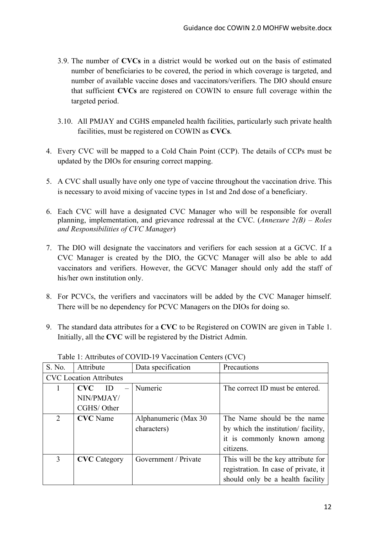- 3.9. The number of **CVCs** in a district would be worked out on the basis of estimated number of beneficiaries to be covered, the period in which coverage is targeted, and number of available vaccine doses and vaccinators/verifiers. The DIO should ensure that sufficient **CVCs** are registered on COWIN to ensure full coverage within the targeted period.
- 3.10. All PMJAY and CGHS empaneled health facilities, particularly such private health facilities, must be registered on COWIN as **CVCs**.
- 4. Every CVC will be mapped to a Cold Chain Point (CCP). The details of CCPs must be updated by the DIOs for ensuring correct mapping.
- 5. A CVC shall usually have only one type of vaccine throughout the vaccination drive. This is necessary to avoid mixing of vaccine types in 1st and 2nd dose of a beneficiary.
- 6. Each CVC will have a designated CVC Manager who will be responsible for overall planning, implementation, and grievance redressal at the CVC. (*Annexure 2(B) – Roles and Responsibilities of CVC Manager*)
- 7. The DIO will designate the vaccinators and verifiers for each session at a GCVC. If a CVC Manager is created by the DIO, the GCVC Manager will also be able to add vaccinators and verifiers. However, the GCVC Manager should only add the staff of his/her own institution only.
- 8. For PCVCs, the verifiers and vaccinators will be added by the CVC Manager himself. There will be no dependency for PCVC Managers on the DIOs for doing so.
- 9. The standard data attributes for a **CVC** to be Registered on COWIN are given in Table 1. Initially, all the **CVC** will be registered by the District Admin.

| S. No. | Attribute                      | Data specification   | Precautions                          |
|--------|--------------------------------|----------------------|--------------------------------------|
|        | <b>CVC</b> Location Attributes |                      |                                      |
|        | <b>CVC</b><br>ID               | Numeric              | The correct ID must be entered.      |
|        | NIN/PMJAY/                     |                      |                                      |
|        | CGHS/Other                     |                      |                                      |
| 2      | <b>CVC</b> Name                | Alphanumeric (Max 30 | The Name should be the name          |
|        |                                | characters)          | by which the institution/facility,   |
|        |                                |                      | it is commonly known among           |
|        |                                |                      | citizens.                            |
| 3      | <b>CVC</b> Category            | Government / Private | This will be the key attribute for   |
|        |                                |                      | registration. In case of private, it |
|        |                                |                      | should only be a health facility     |

Table 1: Attributes of COVID-19 Vaccination Centers (CVC)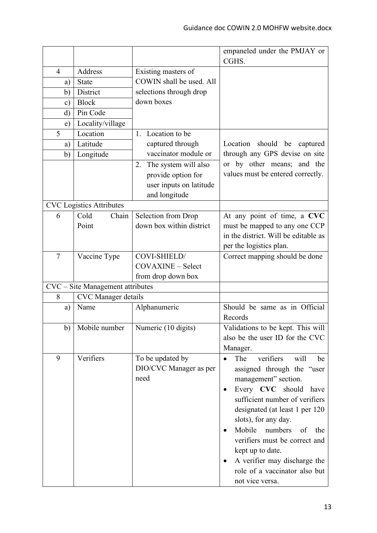|                                  |                                 |                            | empaneled under the PMJAY or<br>CGHS.       |
|----------------------------------|---------------------------------|----------------------------|---------------------------------------------|
| $\overline{4}$                   | Address                         | Existing masters of        |                                             |
| a)                               | <b>State</b>                    | COWIN shall be used. All   |                                             |
| b)                               | District                        | selections through drop    |                                             |
| $\mathbf{c})$                    | <b>Block</b>                    | down boxes                 |                                             |
| $\rm d$                          | Pin Code                        |                            |                                             |
| e)                               | Locality/village                |                            |                                             |
| 5                                | Location                        | Location to be<br>$1_{-}$  |                                             |
| a)                               | Latitude                        | captured through           | Location<br>should be captured              |
| b)                               | Longitude                       | vaccinator module or       | through any GPS devise on site              |
|                                  |                                 | The system will also<br>2. | or by other means; and the                  |
|                                  |                                 | provide option for         | values must be entered correctly.           |
|                                  |                                 | user inputs on latitude    |                                             |
|                                  |                                 | and longitude              |                                             |
|                                  | <b>CVC</b> Logistics Attributes |                            |                                             |
| 6                                | Cold<br>Chain                   | Selection from Drop        | At any point of time, a CVC                 |
|                                  | Point                           | down box within district   | must be mapped to any one CCP               |
|                                  |                                 |                            | in the district. Will be editable as        |
|                                  |                                 |                            | per the logistics plan.                     |
| 7                                | Vaccine Type                    | COVI-SHIELD/               | Correct mapping should be done              |
|                                  |                                 | <b>COVAXINE - Select</b>   |                                             |
|                                  |                                 | from drop down box         |                                             |
| CVC - Site Management attributes |                                 |                            |                                             |
| 8                                | <b>CVC</b> Manager details      |                            |                                             |
| a)                               | Name                            | Alphanumeric               | Should be same as in Official               |
|                                  |                                 |                            | Records                                     |
| b)                               | Mobile number                   | Numeric (10 digits)        | Validations to be kept. This will           |
|                                  |                                 |                            | also be the user ID for the CVC             |
|                                  |                                 |                            | Manager.                                    |
| 9                                | Verifiers                       | To be updated by           | The<br>verifiers<br>will<br>be<br>$\bullet$ |
|                                  |                                 | DIO/CVC Manager as per     | assigned through the "user                  |
|                                  |                                 | need                       | management" section.                        |
|                                  |                                 |                            | Every CVC should have                       |
|                                  |                                 |                            | sufficient number of verifiers              |
|                                  |                                 |                            | designated (at least 1 per 120              |
|                                  |                                 |                            | slots), for any day.                        |
|                                  |                                 |                            | Mobile<br>numbers<br>of<br>the              |
|                                  |                                 |                            | verifiers must be correct and               |
|                                  |                                 |                            | kept up to date.                            |
|                                  |                                 |                            | A verifier may discharge the                |
|                                  |                                 |                            | role of a vaccinator also but               |
|                                  |                                 |                            | not vice versa.                             |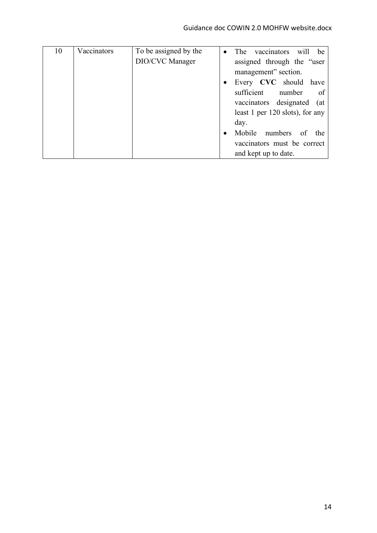| 10 | Vaccinators | To be assigned by the | The<br>vaccinators will<br>be   |
|----|-------------|-----------------------|---------------------------------|
|    |             | DIO/CVC Manager       | assigned through the "user      |
|    |             |                       | management" section.            |
|    |             |                       | Every CVC should have           |
|    |             |                       | sufficient<br>of<br>number      |
|    |             |                       | vaccinators designated (at      |
|    |             |                       | least 1 per 120 slots), for any |
|    |             |                       | day.                            |
|    |             |                       | Mobile numbers of<br>the        |
|    |             |                       | vaccinators must be correct     |
|    |             |                       | and kept up to date.            |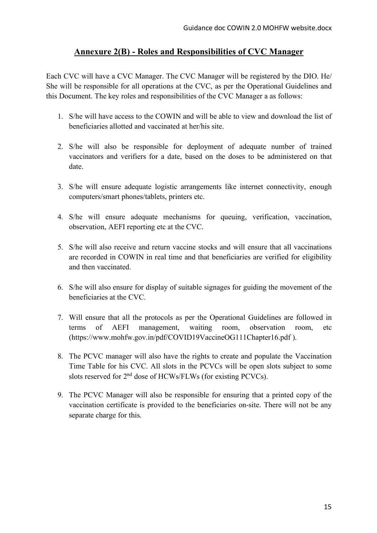## **Annexure 2(B) - Roles and Responsibilities of CVC Manager**

Each CVC will have a CVC Manager. The CVC Manager will be registered by the DIO. He/ She will be responsible for all operations at the CVC, as per the Operational Guidelines and this Document. The key roles and responsibilities of the CVC Manager a as follows:

- 1. S/he will have access to the COWIN and will be able to view and download the list of beneficiaries allotted and vaccinated at her/his site.
- 2. S/he will also be responsible for deployment of adequate number of trained vaccinators and verifiers for a date, based on the doses to be administered on that date.
- 3. S/he will ensure adequate logistic arrangements like internet connectivity, enough computers/smart phones/tablets, printers etc.
- 4. S/he will ensure adequate mechanisms for queuing, verification, vaccination, observation, AEFI reporting etc at the CVC.
- 5. S/he will also receive and return vaccine stocks and will ensure that all vaccinations are recorded in COWIN in real time and that beneficiaries are verified for eligibility and then vaccinated.
- 6. S/he will also ensure for display of suitable signages for guiding the movement of the beneficiaries at the CVC.
- 7. Will ensure that all the protocols as per the Operational Guidelines are followed in terms of AEFI management, waiting room, observation room, etc (https://www.mohfw.gov.in/pdf/COVID19VaccineOG111Chapter16.pdf ).
- 8. The PCVC manager will also have the rights to create and populate the Vaccination Time Table for his CVC. All slots in the PCVCs will be open slots subject to some slots reserved for  $2<sup>nd</sup>$  dose of HCWs/FLWs (for existing PCVCs).
- 9. The PCVC Manager will also be responsible for ensuring that a printed copy of the vaccination certificate is provided to the beneficiaries on-site. There will not be any separate charge for this.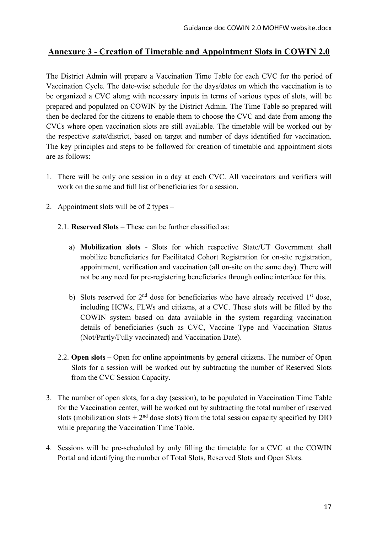# **Annexure 3 - Creation of Timetable and Appointment Slots in COWIN 2.0**

The District Admin will prepare a Vaccination Time Table for each CVC for the period of Vaccination Cycle. The date-wise schedule for the days/dates on which the vaccination is to be organized a CVC along with necessary inputs in terms of various types of slots, will be prepared and populated on COWIN by the District Admin. The Time Table so prepared will then be declared for the citizens to enable them to choose the CVC and date from among the CVCs where open vaccination slots are still available. The timetable will be worked out by the respective state/district, based on target and number of days identified for vaccination. The key principles and steps to be followed for creation of timetable and appointment slots are as follows:

- 1. There will be only one session in a day at each CVC. All vaccinators and verifiers will work on the same and full list of beneficiaries for a session.
- 2. Appointment slots will be of 2 types
	- 2.1. **Reserved Slots** These can be further classified as:
		- a) **Mobilization slots** Slots for which respective State/UT Government shall mobilize beneficiaries for Facilitated Cohort Registration for on-site registration, appointment, verification and vaccination (all on-site on the same day). There will not be any need for pre-registering beneficiaries through online interface for this.
		- b) Slots reserved for  $2<sup>nd</sup>$  dose for beneficiaries who have already received  $1<sup>st</sup>$  dose, including HCWs, FLWs and citizens, at a CVC. These slots will be filled by the COWIN system based on data available in the system regarding vaccination details of beneficiaries (such as CVC, Vaccine Type and Vaccination Status (Not/Partly/Fully vaccinated) and Vaccination Date).
	- 2.2. **Open slots** Open for online appointments by general citizens. The number of Open Slots for a session will be worked out by subtracting the number of Reserved Slots from the CVC Session Capacity.
- 3. The number of open slots, for a day (session), to be populated in Vaccination Time Table for the Vaccination center, will be worked out by subtracting the total number of reserved slots (mobilization slots  $+ 2<sup>nd</sup>$  dose slots) from the total session capacity specified by DIO while preparing the Vaccination Time Table.
- 4. Sessions will be pre-scheduled by only filling the timetable for a CVC at the COWIN Portal and identifying the number of Total Slots, Reserved Slots and Open Slots.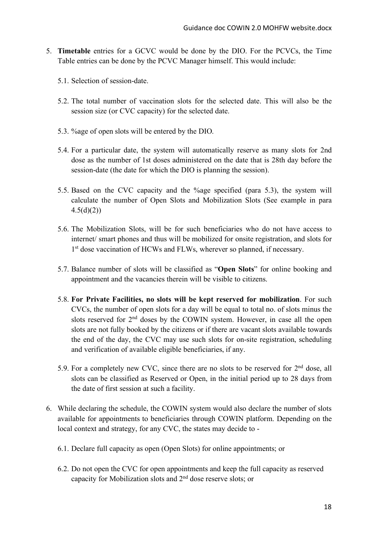- 5. **Timetable** entries for a GCVC would be done by the DIO. For the PCVCs, the Time Table entries can be done by the PCVC Manager himself. This would include:
	- 5.1. Selection of session-date.
	- 5.2. The total number of vaccination slots for the selected date. This will also be the session size (or CVC capacity) for the selected date.
	- 5.3. %age of open slots will be entered by the DIO.
	- 5.4. For a particular date, the system will automatically reserve as many slots for 2nd dose as the number of 1st doses administered on the date that is 28th day before the session-date (the date for which the DIO is planning the session).
	- 5.5. Based on the CVC capacity and the %age specified (para 5.3), the system will calculate the number of Open Slots and Mobilization Slots (See example in para  $4.5(d)(2)$
	- 5.6. The Mobilization Slots, will be for such beneficiaries who do not have access to internet/ smart phones and thus will be mobilized for onsite registration, and slots for 1<sup>st</sup> dose vaccination of HCWs and FLWs, wherever so planned, if necessary.
	- 5.7. Balance number of slots will be classified as "**Open Slots**" for online booking and appointment and the vacancies therein will be visible to citizens.
	- 5.8. **For Private Facilities, no slots will be kept reserved for mobilization**. For such CVCs, the number of open slots for a day will be equal to total no. of slots minus the slots reserved for  $2<sup>nd</sup>$  doses by the COWIN system. However, in case all the open slots are not fully booked by the citizens or if there are vacant slots available towards the end of the day, the CVC may use such slots for on-site registration, scheduling and verification of available eligible beneficiaries, if any.
	- 5.9. For a completely new CVC, since there are no slots to be reserved for 2<sup>nd</sup> dose, all slots can be classified as Reserved or Open, in the initial period up to 28 days from the date of first session at such a facility.
- 6. While declaring the schedule, the COWIN system would also declare the number of slots available for appointments to beneficiaries through COWIN platform. Depending on the local context and strategy, for any CVC, the states may decide to -
	- 6.1. Declare full capacity as open (Open Slots) for online appointments; or
	- 6.2. Do not open the CVC for open appointments and keep the full capacity as reserved capacity for Mobilization slots and 2nd dose reserve slots; or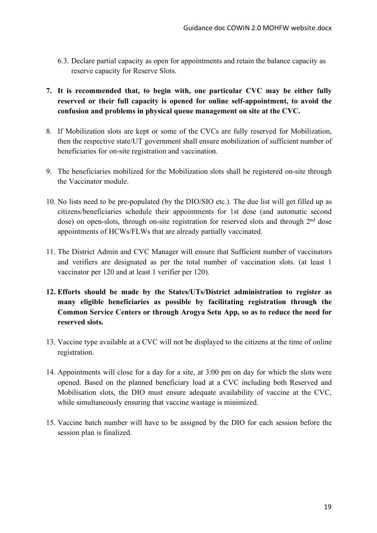- 6.3. Declare partial capacity as open for appointments and retain the balance capacity as reserve capacity for Reserve Slots.
- **7. It is recommended that, to begin with, one particular CVC may be either fully reserved or their full capacity is opened for online self-appointment, to avoid the confusion and problems in physical queue management on site at the CVC.**
- 8. If Mobilization slots are kept or some of the CVCs are fully reserved for Mobilization, then the respective state/UT government shall ensure mobilization of sufficient number of beneficiaries for on-site registration and vaccination.
- 9. The beneficiaries mobilized for the Mobilization slots shall be registered on-site through the Vaccinator module.
- 10. No lists need to be pre-populated (by the DIO/SIO etc.). The due list will get filled up as citizens/beneficiaries schedule their appointments for 1st dose (and automatic second dose) on open-slots, through on-site registration for reserved slots and through  $2<sup>nd</sup>$  dose appointments of HCWs/FLWs that are already partially vaccinated.
- 11. The District Admin and CVC Manager will ensure that Sufficient number of vaccinators and verifiers are designated as per the total number of vaccination slots. (at least 1 vaccinator per 120 and at least 1 verifier per 120).
- **12. Efforts should be made by the States/UTs/District administration to register as many eligible beneficiaries as possible by facilitating registration through the Common Service Centers or through Arogya Setu App, so as to reduce the need for reserved slots.**
- 13. Vaccine type available at a CVC will not be displayed to the citizens at the time of online registration.
- 14. Appointments will close for a day for a site, at 3:00 pm on day for which the slots were opened. Based on the planned beneficiary load at a CVC including both Reserved and Mobilisation slots, the DIO must ensure adequate availability of vaccine at the CVC, while simultaneously ensuring that vaccine wastage is minimized.
- 15. Vaccine batch number will have to be assigned by the DIO for each session before the session plan is finalized.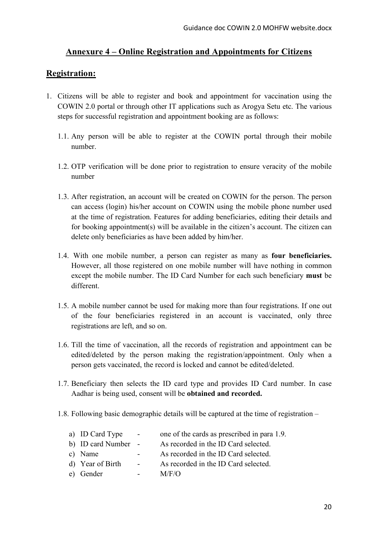# **Annexure 4 – Online Registration and Appointments for Citizens**

# **Registration:**

- 1. Citizens will be able to register and book and appointment for vaccination using the COWIN 2.0 portal or through other IT applications such as Arogya Setu etc. The various steps for successful registration and appointment booking are as follows:
	- 1.1. Any person will be able to register at the COWIN portal through their mobile number.
	- 1.2. OTP verification will be done prior to registration to ensure veracity of the mobile number
	- 1.3. After registration, an account will be created on COWIN for the person. The person can access (login) his/her account on COWIN using the mobile phone number used at the time of registration. Features for adding beneficiaries, editing their details and for booking appointment(s) will be available in the citizen's account. The citizen can delete only beneficiaries as have been added by him/her.
	- 1.4. With one mobile number, a person can register as many as **four beneficiaries.** However, all those registered on one mobile number will have nothing in common except the mobile number. The ID Card Number for each such beneficiary **must** be different.
	- 1.5. A mobile number cannot be used for making more than four registrations. If one out of the four beneficiaries registered in an account is vaccinated, only three registrations are left, and so on.
	- 1.6. Till the time of vaccination, all the records of registration and appointment can be edited/deleted by the person making the registration/appointment. Only when a person gets vaccinated, the record is locked and cannot be edited/deleted.
	- 1.7. Beneficiary then selects the ID card type and provides ID Card number. In case Aadhar is being used, consent will be **obtained and recorded.**
	- 1.8. Following basic demographic details will be captured at the time of registration –

| a) ID Card Type     | $\sim$ $-$     | one of the cards as prescribed in para 1.9. |
|---------------------|----------------|---------------------------------------------|
| b) ID card Number - |                | As recorded in the ID Card selected.        |
| c) Name             | $\blacksquare$ | As recorded in the ID Card selected.        |
| d) Year of Birth    | $\blacksquare$ | As recorded in the ID Card selected.        |
| e) Gender           | $\blacksquare$ | M/F/O                                       |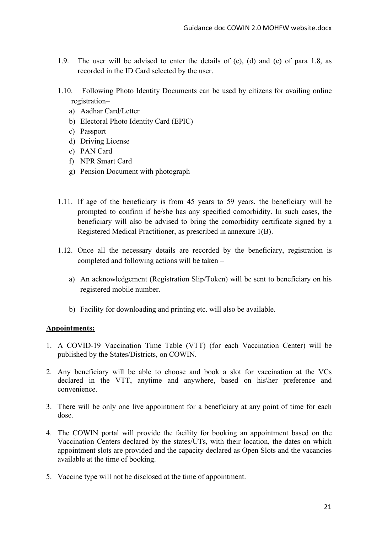- 1.9. The user will be advised to enter the details of (c), (d) and (e) of para 1.8, as recorded in the ID Card selected by the user.
- 1.10. Following Photo Identity Documents can be used by citizens for availing online registration–
	- a) Aadhar Card/Letter
	- b) Electoral Photo Identity Card (EPIC)
	- c) Passport
	- d) Driving License
	- e) PAN Card
	- f) NPR Smart Card
	- g) Pension Document with photograph
- 1.11. If age of the beneficiary is from 45 years to 59 years, the beneficiary will be prompted to confirm if he/she has any specified comorbidity. In such cases, the beneficiary will also be advised to bring the comorbidity certificate signed by a Registered Medical Practitioner, as prescribed in annexure 1(B).
- 1.12. Once all the necessary details are recorded by the beneficiary, registration is completed and following actions will be taken –
	- a) An acknowledgement (Registration Slip/Token) will be sent to beneficiary on his registered mobile number.
	- b) Facility for downloading and printing etc. will also be available.

### **Appointments:**

- 1. A COVID-19 Vaccination Time Table (VTT) (for each Vaccination Center) will be published by the States/Districts, on COWIN.
- 2. Any beneficiary will be able to choose and book a slot for vaccination at the VCs declared in the VTT, anytime and anywhere, based on his\her preference and convenience.
- 3. There will be only one live appointment for a beneficiary at any point of time for each dose.
- 4. The COWIN portal will provide the facility for booking an appointment based on the Vaccination Centers declared by the states/UTs, with their location, the dates on which appointment slots are provided and the capacity declared as Open Slots and the vacancies available at the time of booking.
- 5. Vaccine type will not be disclosed at the time of appointment.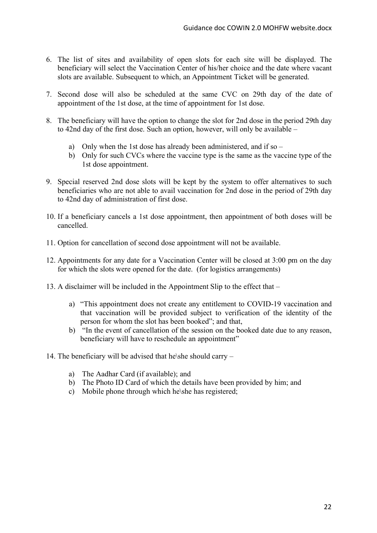- 6. The list of sites and availability of open slots for each site will be displayed. The beneficiary will select the Vaccination Center of his/her choice and the date where vacant slots are available. Subsequent to which, an Appointment Ticket will be generated.
- 7. Second dose will also be scheduled at the same CVC on 29th day of the date of appointment of the 1st dose, at the time of appointment for 1st dose.
- 8. The beneficiary will have the option to change the slot for 2nd dose in the period 29th day to 42nd day of the first dose. Such an option, however, will only be available –
	- a) Only when the 1st dose has already been administered, and if so –
	- b) Only for such CVCs where the vaccine type is the same as the vaccine type of the 1st dose appointment.
- 9. Special reserved 2nd dose slots will be kept by the system to offer alternatives to such beneficiaries who are not able to avail vaccination for 2nd dose in the period of 29th day to 42nd day of administration of first dose.
- 10. If a beneficiary cancels a 1st dose appointment, then appointment of both doses will be cancelled.
- 11. Option for cancellation of second dose appointment will not be available.
- 12. Appointments for any date for a Vaccination Center will be closed at 3:00 pm on the day for which the slots were opened for the date. (for logistics arrangements)
- 13. A disclaimer will be included in the Appointment Slip to the effect that
	- a) "This appointment does not create any entitlement to COVID-19 vaccination and that vaccination will be provided subject to verification of the identity of the person for whom the slot has been booked"; and that,
	- b) "In the event of cancellation of the session on the booked date due to any reason, beneficiary will have to reschedule an appointment"
- 14. The beneficiary will be advised that he\she should carry
	- a) The Aadhar Card (if available); and
	- b) The Photo ID Card of which the details have been provided by him; and
	- c) Mobile phone through which he\she has registered;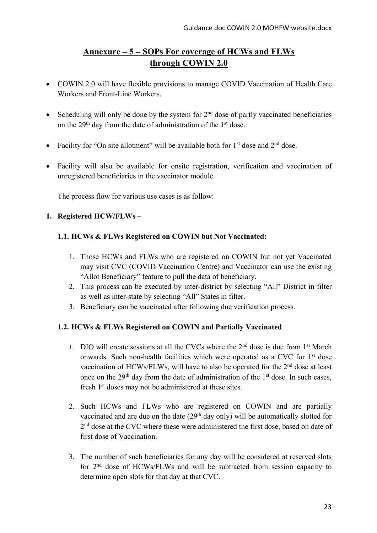# **Annexure – 5 – SOPs For coverage of HCWs and FLWs through COWIN 2.0**

- COWIN 2.0 will have flexible provisions to manage COVID Vaccination of Health Care Workers and Front-Line Workers.
- Scheduling will only be done by the system for  $2<sup>nd</sup>$  dose of partly vaccinated beneficiaries on the 29th day from the date of administration of the 1st dose.
- Facility for "On site allotment" will be available both for  $1<sup>st</sup>$  dose and  $2<sup>nd</sup>$  dose.
- Facility will also be available for onsite registration, verification and vaccination of unregistered beneficiaries in the vaccinator module.

The process flow for various use cases is as follow:

### **1. Registered HCW/FLWs –**

### **1.1. HCWs & FLWs Registered on COWIN but Not Vaccinated:**

- 1. Those HCWs and FLWs who are registered on COWIN but not yet Vaccinated may visit CVC (COVID Vaccination Centre) and Vaccinator can use the existing "Allot Beneficiary" feature to pull the data of beneficiary.
- 2. This process can be executed by inter-district by selecting "All" District in filter as well as inter-state by selecting "All" States in filter.
- 3. Beneficiary can be vaccinated after following due verification process.

## **1.2. HCWs & FLWs Registered on COWIN and Partially Vaccinated**

- 1. DIO will create sessions at all the CVCs where the  $2<sup>nd</sup>$  dose is due from  $1<sup>st</sup>$  March onwards. Such non-health facilities which were operated as a CVC for 1st dose vaccination of HCWs/FLWs, will have to also be operated for the 2<sup>nd</sup> dose at least once on the 29<sup>th</sup> day from the date of administration of the 1<sup>st</sup> dose. In such cases, fresh 1<sup>st</sup> doses may not be administered at these sites.
- 2. Such HCWs and FLWs who are registered on COWIN and are partially vaccinated and are due on the date  $(29<sup>th</sup>$  day only) will be automatically slotted for 2<sup>nd</sup> dose at the CVC where these were administered the first dose, based on date of first dose of Vaccination.
- 3. The number of such beneficiaries for any day will be considered at reserved slots for 2nd dose of HCWs/FLWs and will be subtracted from session capacity to determine open slots for that day at that CVC.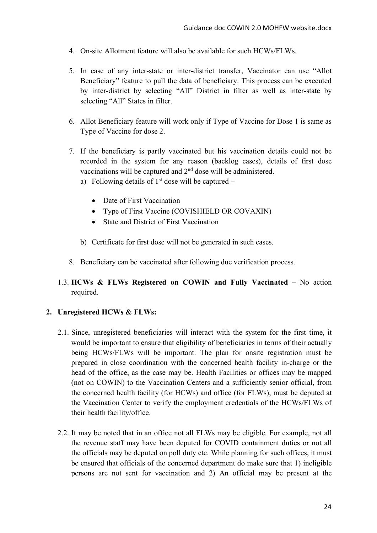- 4. On-site Allotment feature will also be available for such HCWs/FLWs.
- 5. In case of any inter-state or inter-district transfer, Vaccinator can use "Allot Beneficiary" feature to pull the data of beneficiary. This process can be executed by inter-district by selecting "All" District in filter as well as inter-state by selecting "All" States in filter.
- 6. Allot Beneficiary feature will work only if Type of Vaccine for Dose 1 is same as Type of Vaccine for dose 2.
- 7. If the beneficiary is partly vaccinated but his vaccination details could not be recorded in the system for any reason (backlog cases), details of first dose vaccinations will be captured and 2nd dose will be administered.
	- a) Following details of  $1<sup>st</sup>$  dose will be captured
		- Date of First Vaccination
		- Type of First Vaccine (COVISHIELD OR COVAXIN)
		- State and District of First Vaccination
	- b) Certificate for first dose will not be generated in such cases.
- 8. Beneficiary can be vaccinated after following due verification process.
- 1.3. **HCWs & FLWs Registered on COWIN and Fully Vaccinated –** No action required.

### **2. Unregistered HCWs & FLWs:**

- 2.1. Since, unregistered beneficiaries will interact with the system for the first time, it would be important to ensure that eligibility of beneficiaries in terms of their actually being HCWs/FLWs will be important. The plan for onsite registration must be prepared in close coordination with the concerned health facility in-charge or the head of the office, as the case may be. Health Facilities or offices may be mapped (not on COWIN) to the Vaccination Centers and a sufficiently senior official, from the concerned health facility (for HCWs) and office (for FLWs), must be deputed at the Vaccination Center to verify the employment credentials of the HCWs/FLWs of their health facility/office.
- 2.2. It may be noted that in an office not all FLWs may be eligible. For example, not all the revenue staff may have been deputed for COVID containment duties or not all the officials may be deputed on poll duty etc. While planning for such offices, it must be ensured that officials of the concerned department do make sure that 1) ineligible persons are not sent for vaccination and 2) An official may be present at the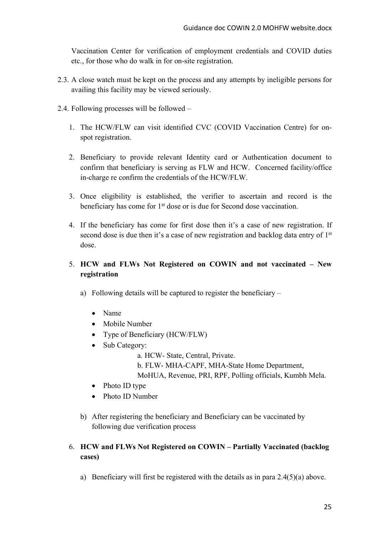Vaccination Center for verification of employment credentials and COVID duties etc., for those who do walk in for on-site registration.

- 2.3. A close watch must be kept on the process and any attempts by ineligible persons for availing this facility may be viewed seriously.
- 2.4. Following processes will be followed
	- 1. The HCW/FLW can visit identified CVC (COVID Vaccination Centre) for onspot registration.
	- 2. Beneficiary to provide relevant Identity card or Authentication document to confirm that beneficiary is serving as FLW and HCW. Concerned facility/office in-charge re confirm the credentials of the HCW/FLW.
	- 3. Once eligibility is established, the verifier to ascertain and record is the beneficiary has come for 1<sup>st</sup> dose or is due for Second dose vaccination.
	- 4. If the beneficiary has come for first dose then it's a case of new registration. If second dose is due then it's a case of new registration and backlog data entry of 1<sup>st</sup> dose.

## 5. **HCW and FLWs Not Registered on COWIN and not vaccinated – New registration**

- a) Following details will be captured to register the beneficiary
	- Name
	- Mobile Number
	- Type of Beneficiary (HCW/FLW)
	- Sub Category:

a. HCW- State, Central, Private.

b. FLW- MHA-CAPF, MHA-State Home Department,

MoHUA, Revenue, PRI, RPF, Polling officials, Kumbh Mela.

- Photo ID type
- Photo ID Number
- b) After registering the beneficiary and Beneficiary can be vaccinated by following due verification process

## 6. **HCW and FLWs Not Registered on COWIN – Partially Vaccinated (backlog cases)**

a) Beneficiary will first be registered with the details as in para 2.4(5)(a) above.